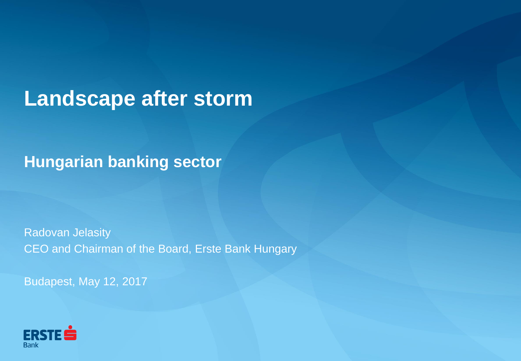# **Landscape after storm**

**Hungarian banking sector**

Radovan Jelasity CEO and Chairman of the Board, Erste Bank Hungary

Budapest, May 12, 2017

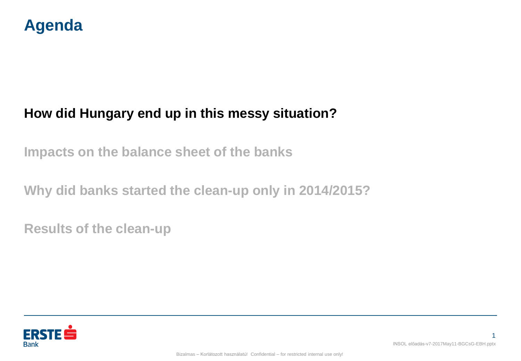

**Impacts on the balance sheet of the banks**

**Why did banks started the clean-up only in 2014/2015?**

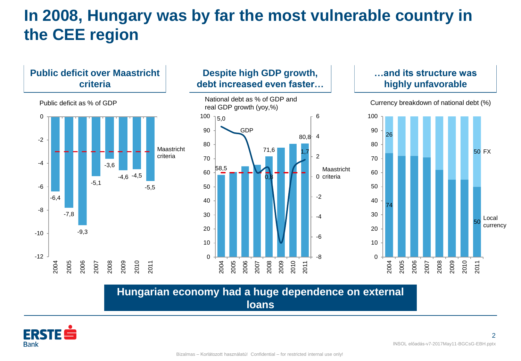# **In 2008, Hungary was by far the most vulnerable country in the CEE region**



#### **Hungarian economy had a huge dependence on external loans**



2 INSOL előadás-v7-2017May11-BGCsG-EBH.pptx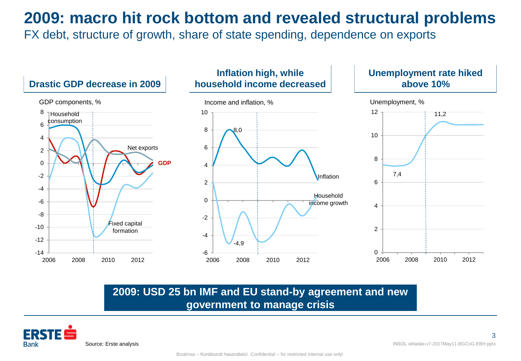**2009: macro hit rock bottom and revealed structural problems**

FX debt, structure of growth, share of state spending, dependence on exports



### **2009: USD 25 bn IMF and EU stand-by agreement and new government to manage crisis**

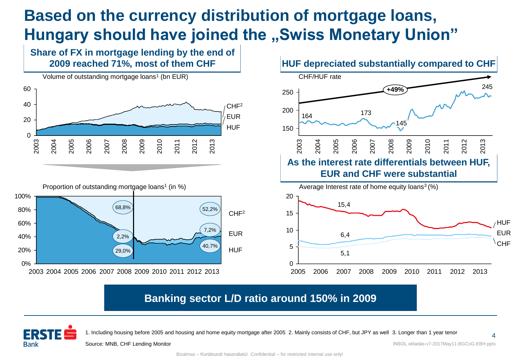# **Based on the currency distribution of mortgage loans, Hungary should have joined the "Swiss Monetary Union"**

**Share of FX in mortgage lending by the end of** 









### **Banking sector L/D ratio around 150% in 2009**



1. Including housing before 2005 and housing and home equity mortgage after 2005 2. Mainly consists of CHF, but JPY as well 3. Longer than 1 year tenor

Source: MNB, CHF Lending Monitor

INSOL előadás-v7-2017May11-BGCsG-EBH.pptx

4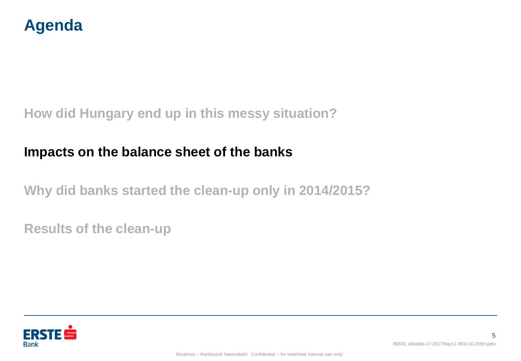

## **Impacts on the balance sheet of the banks**

**Why did banks started the clean-up only in 2014/2015?**

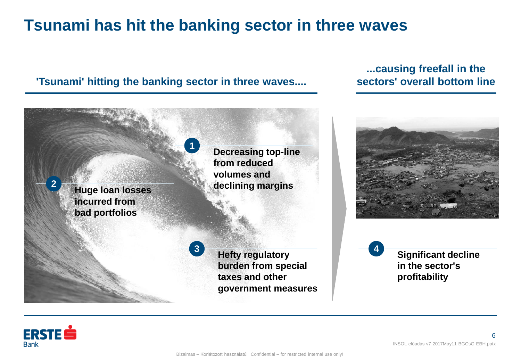# **Tsunami has hit the banking sector in three waves**

#### **'Tsunami' hitting the banking sector in three waves....**

#### **...causing freefall in the sectors' overall bottom line**



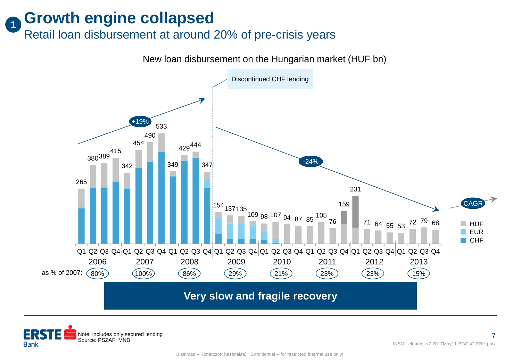#### **Growth engine collapsed 1**

Retail loan disbursement at around 20% of pre-crisis years

New loan disbursement on the Hungarian market (HUF bn)



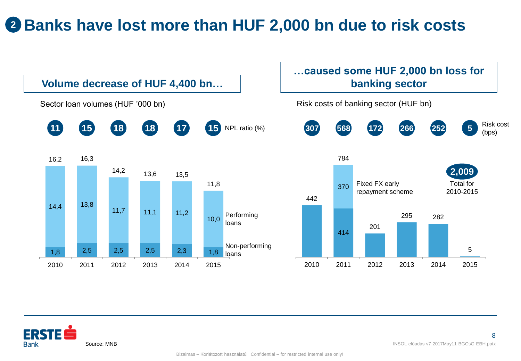# **<sup>2</sup> Banks have lost more than HUF 2,000 bn due to risk costs**



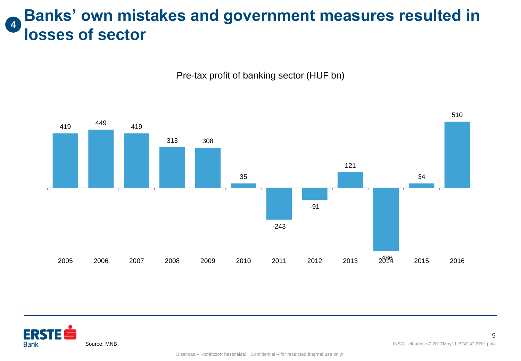### **Banks' own mistakes and government measures resulted in losses of sector 4**

Pre-tax profit of banking sector (HUF bn)





**Bank** 

Source: MNB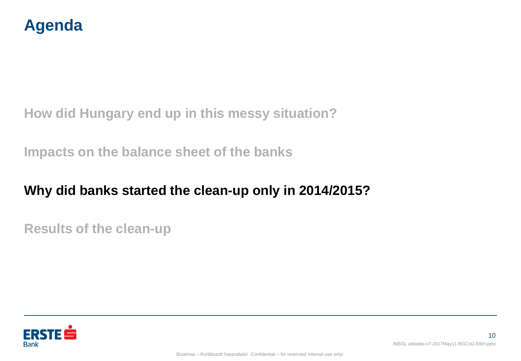

**Impacts on the balance sheet of the banks**

## **Why did banks started the clean-up only in 2014/2015?**

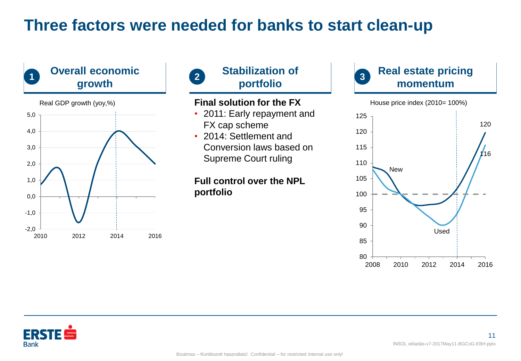# **Three factors were needed for banks to start clean-up**





- 2011: Early repayment and FX cap scheme
- 2014: Settlement and Conversion laws based on Supreme Court ruling

#### **Full control over the NPL portfolio**



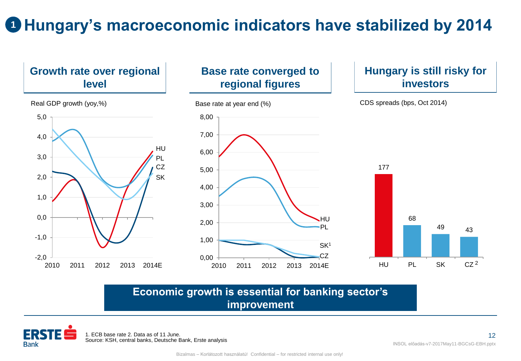# **Hungary's macroeconomic indicators have stabilized by 2014 1**



#### **Economic growth is essential for banking sector's improvement**

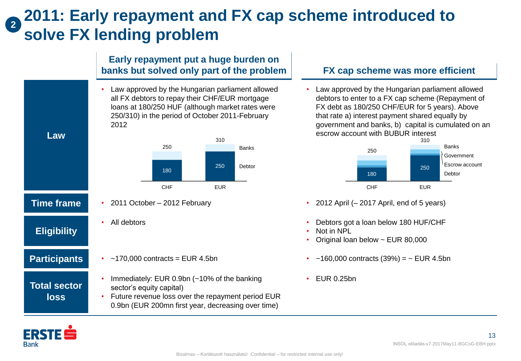### **2011: Early repayment and FX cap scheme introduced to solve FX lending problem 2**

#### **Early repayment put a huge burden on banks but solved only part of the problem**

• Law approved by the Hungarian parliament allowed all FX debtors to repay their CHF/EUR mortgage loans at 180/250 HUF (although market rates were 250/310) in the period of October 2011-February 2012



• All debtors

**Participants**

**Total sector loss**

**Eligibility**

**Law**

- $\cdot$  ~170,000 contracts = EUR 4.5bn
- Immediately: EUR 0.9bn (~10% of the banking sector's equity capital)

#### • Future revenue loss over the repayment period EUR 0.9bn (EUR 200mn first year, decreasing over time)

#### **FX cap scheme was more efficient**

Law approved by the Hungarian parliament allowed debtors to enter to a FX cap scheme (Repayment of FX debt as 180/250 CHF/EUR for 5 years). Above that rate a) interest payment shared equally by government and banks, b) capital is cumulated on an escrow account with BUBUR interest



- **Time frame** 2011 October 2012 February 2012 **•** 2012 April (– 2017 April, end of 5 years)
	- Debtors got a loan below 180 HUF/CHF
	- Not in NPL
	- Original loan below ~ EUR 80,000
	- $-160,000$  contracts (39%) =  $\sim$  EUR 4.5bn
	- EUR 0.25bn

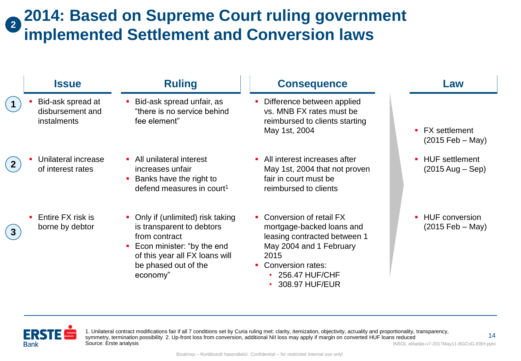#### **2014: Based on Supreme Court ruling government implemented Settlement and Conversion laws 2**

| <b>Issue</b>                                           | <b>Ruling</b>                                                                                                                                                                     | <b>Consequence</b>                                                                                                                                                                 | Law                                                                          |
|--------------------------------------------------------|-----------------------------------------------------------------------------------------------------------------------------------------------------------------------------------|------------------------------------------------------------------------------------------------------------------------------------------------------------------------------------|------------------------------------------------------------------------------|
| Bid-ask spread at<br>disbursement and<br>instalments   | Bid-ask spread unfair, as<br>"there is no service behind<br>fee element"                                                                                                          | Difference between applied<br>vs. MNB FX rates must be<br>reimbursed to clients starting<br>May 1st, 2004                                                                          | <b>FX</b> settlement<br>٠<br>$(2015 \text{ Feb} - \text{May})$               |
| Unilateral increase<br>of interest rates               | • All unilateral interest<br>increases unfair<br>Banks have the right to<br>defend measures in court <sup>1</sup>                                                                 | • All interest increases after<br>May 1st, 2004 that not proven<br>fair in court must be<br>reimbursed to clients                                                                  | <b>HUF</b> settlement<br>$\blacksquare$<br>$(2015 \text{ Aug} - \text{Sep})$ |
| Entire FX risk is<br>$\blacksquare$<br>borne by debtor | Only if (unlimited) risk taking<br>is transparent to debtors<br>from contract<br>Econ minister: "by the end<br>of this year all FX loans will<br>be phased out of the<br>economy" | Conversion of retail FX<br>mortgage-backed loans and<br>leasing contracted between 1<br>May 2004 and 1 February<br>2015<br>• Conversion rates:<br>256.47 HUF/CHF<br>308.97 HUF/EUR | <b>HUF</b> conversion<br>$(2015 \text{ Feb} - \text{May})$                   |



1. Unilateral contract modifications fair if all 7 conditions set by Curia ruling met: clarity, itemization, objectivity, actuality and proportionality, transparency, symmetry, termination possibility 2. Up-front loss from conversion, additional NII loss may apply if margin on converted HUF loans reduced Source: Erste analysis

INSOL előadás-v7-2017May11-BGCsG-EBH.pptx

14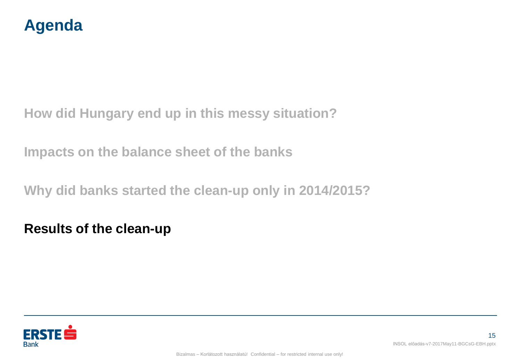

**Impacts on the balance sheet of the banks**

**Why did banks started the clean-up only in 2014/2015?**

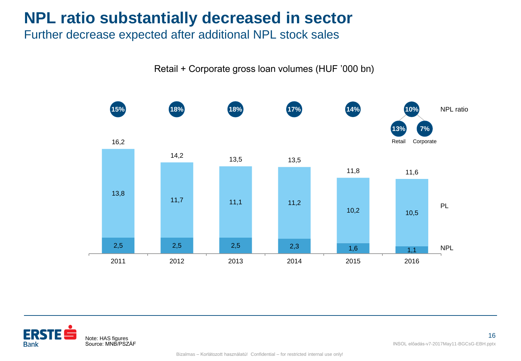# **NPL ratio substantially decreased in sector**

Further decrease expected after additional NPL stock sales

Retail + Corporate gross loan volumes (HUF '000 bn)



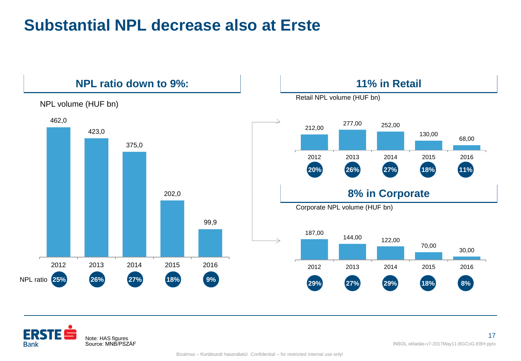# **Substantial NPL decrease also at Erste**